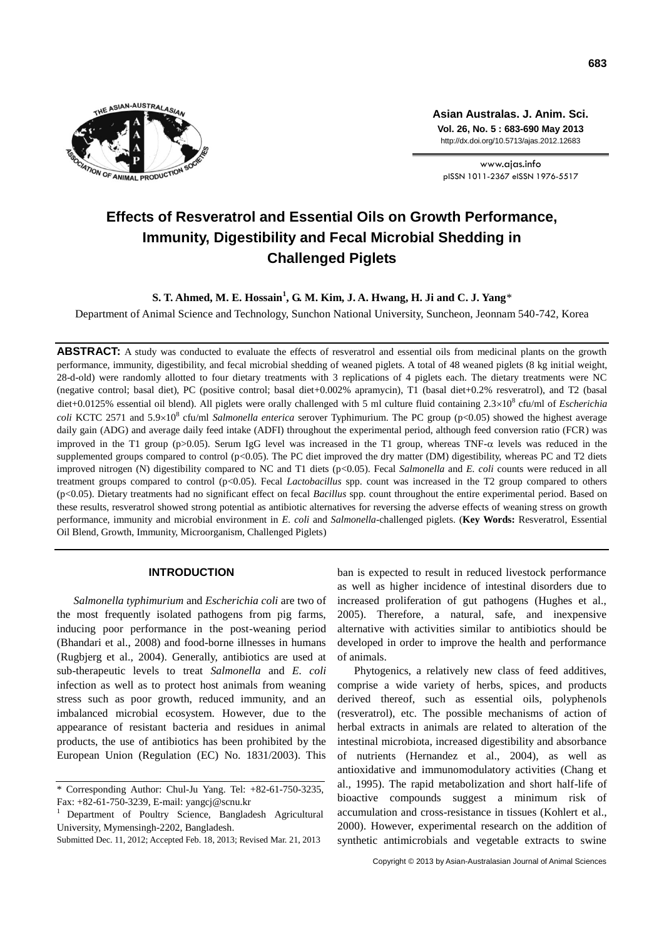

**Asian Australas. J. Anim. Sci. Vol. 26, No. 5 : 683-690 May 2013** http://dx.doi.org/10.5713/ajas.2012.12683

www.ajas.info pISSN 1011-2367 eISSN 1976-5517

# **Effects of Resveratrol and Essential Oils on Growth Performance, Immunity, Digestibility and Fecal Microbial Shedding in Challenged Piglets**

**S. T. Ahmed, M. E. Hossain<sup>1</sup> , G. M. Kim, J. A. Hwang, H. Ji and C. J. Yang**\*

Department of Animal Science and Technology, Sunchon National University, Suncheon, Jeonnam 540-742, Korea

**ABSTRACT:** A study was conducted to evaluate the effects of resveratrol and essential oils from medicinal plants on the growth performance, immunity, digestibility, and fecal microbial shedding of weaned piglets. A total of 48 weaned piglets (8 kg initial weight, 28-d-old) were randomly allotted to four dietary treatments with 3 replications of 4 piglets each. The dietary treatments were NC (negative control; basal diet), PC (positive control; basal diet+0.002% apramycin), T1 (basal diet+0.2% resveratrol), and T2 (basal diet+0.0125% essential oil blend). All piglets were orally challenged with 5 ml culture fluid containing 2.3×10<sup>8</sup> cfu/ml of *Escherichia coli* KCTC 2571 and 5.9×10<sup>8</sup> cfu/ml *Salmonella enterica* serover Typhimurium. The PC group (p<0.05) showed the highest average daily gain (ADG) and average daily feed intake (ADFI) throughout the experimental period, although feed conversion ratio (FCR) was improved in the T1 group (p>0.05). Serum IgG level was increased in the T1 group, whereas TNF- $\alpha$  levels was reduced in the supplemented groups compared to control (p<0.05). The PC diet improved the dry matter (DM) digestibility, whereas PC and T2 diets improved nitrogen (N) digestibility compared to NC and T1 diets (p<0.05). Fecal *Salmonella* and *E. coli* counts were reduced in all treatment groups compared to control (p<0.05). Fecal *Lactobacillus* spp. count was increased in the T2 group compared to others (p<0.05). Dietary treatments had no significant effect on fecal *Bacillus* spp. count throughout the entire experimental period. Based on these results, resveratrol showed strong potential as antibiotic alternatives for reversing the adverse effects of weaning stress on growth performance, immunity and microbial environment in *E. coli* and *Salmonella-*challenged piglets. (**Key Words:** Resveratrol, Essential Oil Blend, Growth, Immunity, Microorganism, Challenged Piglets)

## **INTRODUCTION**

*Salmonella typhimurium* and *Escherichia coli* are two of the most frequently isolated pathogens from pig farms, inducing poor performance in the post-weaning period (Bhandari et al., 2008) and food-borne illnesses in humans (Rugbjerg et al., 2004). Generally, antibiotics are used at sub-therapeutic levels to treat *Salmonella* and *E. coli* infection as well as to protect host animals from weaning stress such as poor growth, reduced immunity, and an imbalanced microbial ecosystem. However, due to the appearance of resistant bacteria and residues in animal products, the use of antibiotics has been prohibited by the European Union (Regulation (EC) No. 1831/2003). This ban is expected to result in reduced livestock performance as well as higher incidence of intestinal disorders due to increased proliferation of gut pathogens (Hughes et al., 2005). Therefore, a natural, safe, and inexpensive alternative with activities similar to antibiotics should be developed in order to improve the health and performance of animals.

Phytogenics, a relatively new class of feed additives, comprise a wide variety of herbs, spices, and products derived thereof, such as essential oils, polyphenols (resveratrol), etc. The possible mechanisms of action of herbal extracts in animals are related to alteration of the intestinal microbiota, increased digestibility and absorbance of nutrients (Hernandez et al., 2004), as well as antioxidative and immunomodulatory activities (Chang et al., 1995). The rapid metabolization and short half-life of bioactive compounds suggest a minimum risk of accumulation and cross-resistance in tissues (Kohlert et al., 2000). However, experimental research on the addition of synthetic antimicrobials and vegetable extracts to swine

Copyright © 2013 by Asian-Australasian Journal of Animal Sciences

<sup>\*</sup> Corresponding Author: Chul-Ju Yang. Tel: +82-61-750-3235, Fax: +82-61-750-3239, E-mail[: yangcj@scnu.kr](mailto:yangcj@scnu.kr)

<sup>1</sup> Department of Poultry Science, Bangladesh Agricultural University, Mymensingh-2202, Bangladesh.

Submitted Dec. 11, 2012; Accepted Feb. 18, 2013; Revised Mar. 21, 2013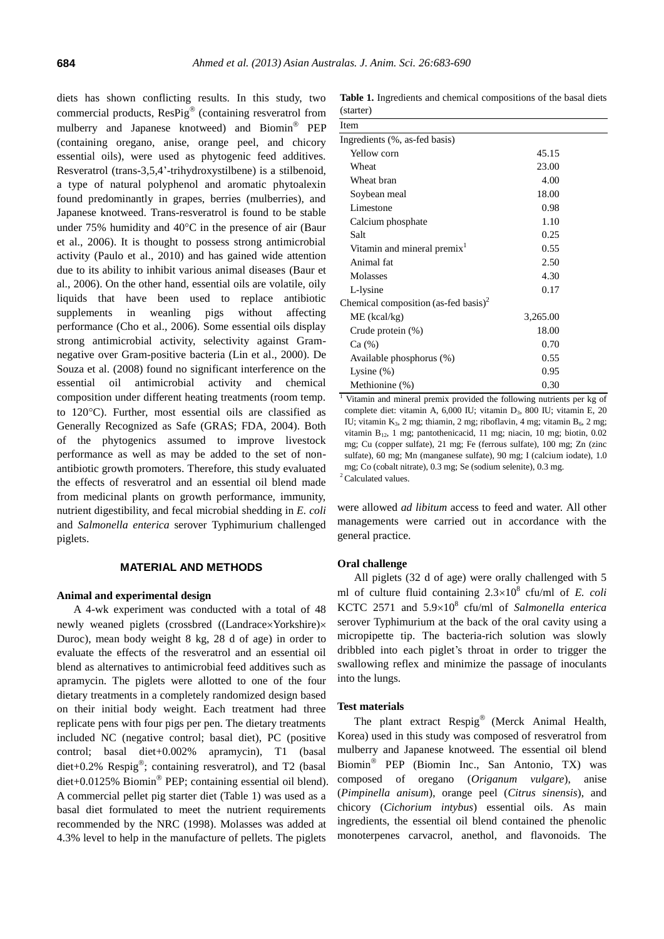diets has shown conflicting results. In this study, two commercial products, ResPig® (containing resveratrol from mulberry and Japanese knotweed) and Biomin PEP (containing oregano, anise, orange peel, and chicory essential oils), were used as phytogenic feed additives. Resveratrol (trans-3,5,4'-trihydroxystilbene) is a stilbenoid, a type of natural polyphenol and aromatic phytoalexin found predominantly in grapes, berries (mulberries), and Japanese knotweed. Trans-resveratrol is found to be stable under 75% humidity and  $40^{\circ}$ C in the presence of air (Baur et al., 2006). It is thought to possess strong antimicrobial activity (Paulo et al., 2010) and has gained wide attention due to its ability to inhibit various animal diseases (Baur et al., 2006). On the other hand, essential oils are volatile, oily liquids that have been used to replace antibiotic supplements in weanling pigs without affecting performance (Cho et al., 2006). Some essential oils display strong antimicrobial activity, selectivity against Gramnegative over Gram-positive bacteria (Lin et al., 2000). De Souza et al. (2008) found no significant interference on the essential oil antimicrobial activity and chemical composition under different heating treatments (room temp. to 120C). Further, most essential oils are classified as Generally Recognized as Safe (GRAS; FDA, 2004). Both of the phytogenics assumed to improve livestock performance as well as may be added to the set of nonantibiotic growth promoters. Therefore, this study evaluated the effects of resveratrol and an essential oil blend made from medicinal plants on growth performance, immunity, nutrient digestibility, and fecal microbial shedding in *E. coli* and *Salmonella enterica* serover Typhimurium challenged piglets.

## **MATERIAL AND METHODS**

## **Animal and experimental design**

A 4-wk experiment was conducted with a total of 48 newly weaned piglets (crossbred ((Landrace×Yorkshire)× Duroc), mean body weight 8 kg, 28 d of age) in order to evaluate the effects of the resveratrol and an essential oil blend as alternatives to antimicrobial feed additives such as apramycin. The piglets were allotted to one of the four dietary treatments in a completely randomized design based on their initial body weight. Each treatment had three replicate pens with four pigs per pen. The dietary treatments included NC (negative control; basal diet), PC (positive control; basal diet+0.002% apramycin), T1 (basal diet+0.2% Respig<sup>®</sup>; containing resveratrol), and T2 (basal diet+0.0125% Biomin<sup>®</sup> PEP; containing essential oil blend). A commercial pellet pig starter diet (Table 1) was used as a basal diet formulated to meet the nutrient requirements recommended by the NRC (1998). Molasses was added at 4.3% level to help in the manufacture of pellets. The piglets

**Table 1.** Ingredients and chemical compositions of the basal diets (starter)

| Item                                             |          |  |
|--------------------------------------------------|----------|--|
| Ingredients (%, as-fed basis)                    |          |  |
| Yellow corn                                      | 45.15    |  |
| Wheat                                            | 23.00    |  |
| Wheat bran                                       | 4.00     |  |
| Soybean meal                                     | 18.00    |  |
| Limestone                                        | 0.98     |  |
| Calcium phosphate                                | 1.10     |  |
| Salt                                             | 0.25     |  |
| Vitamin and mineral premix <sup>1</sup>          | 0.55     |  |
| Animal fat                                       | 2.50     |  |
| Molasses                                         | 4.30     |  |
| L-lysine                                         | 0.17     |  |
| Chemical composition (as-fed basis) <sup>2</sup> |          |  |
| $ME$ (kcal/kg)                                   | 3,265.00 |  |
| Crude protein (%)                                | 18.00    |  |
| Ca (%)                                           | 0.70     |  |
| Available phosphorus (%)                         | 0.55     |  |
| Lysine $(\%)$                                    | 0.95     |  |
| Methionine (%)                                   | 0.30     |  |

<sup>1</sup> Vitamin and mineral premix provided the following nutrients per kg of complete diet: vitamin A,  $6,000$  IU; vitamin D<sub>3</sub>,  $800$  IU; vitamin E,  $20$ IU; vitamin  $K_3$ , 2 mg; thiamin, 2 mg; riboflavin, 4 mg; vitamin  $B_6$ , 2 mg; vitamin B12, 1 mg; pantothenicacid, 11 mg; niacin, 10 mg; biotin, 0.02 mg; Cu (copper sulfate), 21 mg; Fe (ferrous sulfate), 100 mg; Zn (zinc sulfate), 60 mg; Mn (manganese sulfate), 90 mg; I (calcium iodate), 1.0 mg; Co (cobalt nitrate), 0.3 mg; Se (sodium selenite), 0.3 mg. <sup>2</sup> Calculated values.

were allowed *ad libitum* access to feed and water. All other managements were carried out in accordance with the general practice.

## **Oral challenge**

All piglets (32 d of age) were orally challenged with 5 ml of culture fluid containing  $2.3 \times 10^8$  cfu/ml of *E. coli* KCTC 2571 and 5.9×10<sup>8</sup> cfu/ml of *Salmonella enterica* serover Typhimurium at the back of the oral cavity using a micropipette tip. The bacteria-rich solution was slowly dribbled into each piglet's throat in order to trigger the swallowing reflex and minimize the passage of inoculants into the lungs.

#### **Test materials**

The plant extract Respig<sup>®</sup> (Merck Animal Health, Korea) used in this study was composed of resveratrol from mulberry and Japanese knotweed. The essential oil blend Biomin PEP (Biomin Inc., San Antonio, TX) was composed of oregano (*Origanum vulgare*), anise (*Pimpinella anisum*), orange peel (*Citrus sinensis*), and chicory (*Cichorium intybus*) essential oils. As main ingredients, the essential oil blend contained the phenolic monoterpenes carvacrol, anethol, and flavonoids. The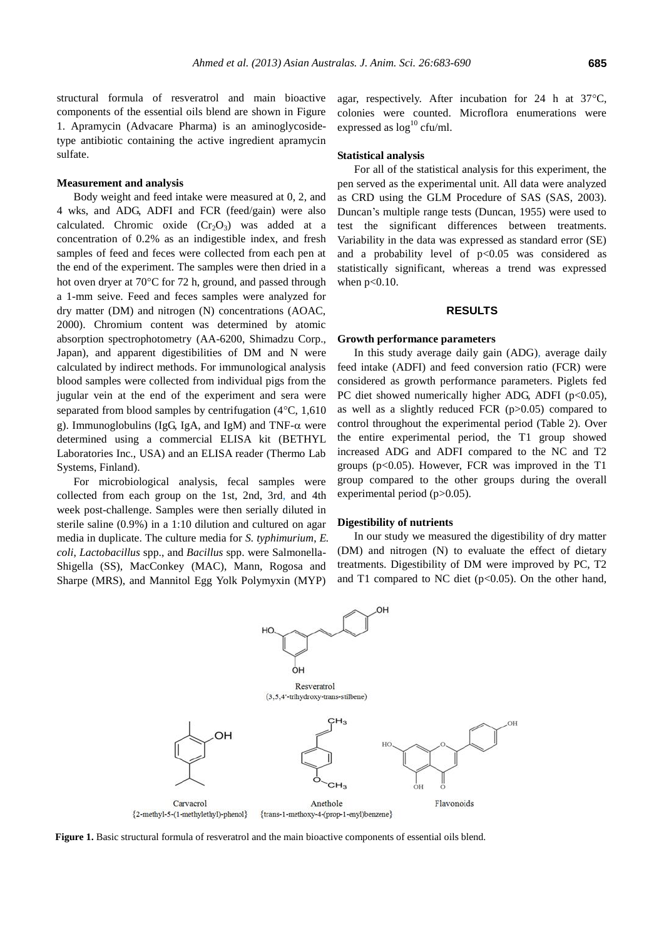structural formula of resveratrol and main bioactive components of the essential oils blend are shown in Figure 1. Apramycin (Advacare Pharma) is an aminoglycosidetype antibiotic containing the active ingredient apramycin sulfate.

## **Measurement and analysis**

Body weight and feed intake were measured at 0, 2, and 4 wks, and ADG, ADFI and FCR (feed/gain) were also calculated. Chromic oxide  $(Cr_2O_3)$  was added at a concentration of 0.2% as an indigestible index, and fresh samples of feed and feces were collected from each pen at the end of the experiment. The samples were then dried in a hot oven dryer at 70°C for 72 h, ground, and passed through a 1-mm seive. Feed and feces samples were analyzed for dry matter (DM) and nitrogen (N) concentrations (AOAC, 2000). Chromium content was determined by atomic absorption spectrophotometry (AA-6200, Shimadzu Corp., Japan), and apparent digestibilities of DM and N were calculated by indirect methods. For immunological analysis blood samples were collected from individual pigs from the jugular vein at the end of the experiment and sera were separated from blood samples by centrifugation  $(4^{\circ}C, 1,610)$ g). Immunoglobulins (IgG, IgA, and IgM) and TNF- $\alpha$  were determined using a commercial ELISA kit (BETHYL Laboratories Inc., USA) and an ELISA reader (Thermo Lab Systems, Finland).

For microbiological analysis, fecal samples were collected from each group on the 1st, 2nd, 3rd, and 4th week post-challenge. Samples were then serially diluted in sterile saline (0.9%) in a 1:10 dilution and cultured on agar media in duplicate. The culture media for *S. typhimurium*, *E. coli*, *Lactobacillus* spp., and *Bacillus* spp. were Salmonella-Shigella (SS), MacConkey (MAC), Mann, Rogosa and Sharpe (MRS), and Mannitol Egg Yolk Polymyxin (MYP)

agar, respectively. After incubation for 24 h at  $37^{\circ}$ C, colonies were counted. Microflora enumerations were expressed as  $log^{10}$  cfu/ml.

## **Statistical analysis**

For all of the statistical analysis for this experiment, the pen served as the experimental unit. All data were analyzed as CRD using the GLM Procedure of SAS (SAS, 2003). Duncan's multiple range tests (Duncan, 1955) were used to test the significant differences between treatments. Variability in the data was expressed as standard error (SE) and a probability level of  $p<0.05$  was considered as statistically significant, whereas a trend was expressed when  $p<0.10$ .

## **RESULTS**

## **Growth performance parameters**

In this study average daily gain (ADG), average daily feed intake (ADFI) and feed conversion ratio (FCR) were considered as growth performance parameters. Piglets fed PC diet showed numerically higher ADG, ADFI ( $p<0.05$ ), as well as a slightly reduced FCR (p>0.05) compared to control throughout the experimental period (Table 2). Over the entire experimental period, the T1 group showed increased ADG and ADFI compared to the NC and T2 groups ( $p<0.05$ ). However, FCR was improved in the T1 group compared to the other groups during the overall experimental period (p>0.05).

#### **Digestibility of nutrients**

In our study we measured the digestibility of dry matter (DM) and nitrogen (N) to evaluate the effect of dietary treatments. Digestibility of DM were improved by PC, T2 and T1 compared to NC diet  $(p<0.05)$ . On the other hand,



**Figure 1.** Basic structural formula of resveratrol and the main bioactive components of essential oils blend.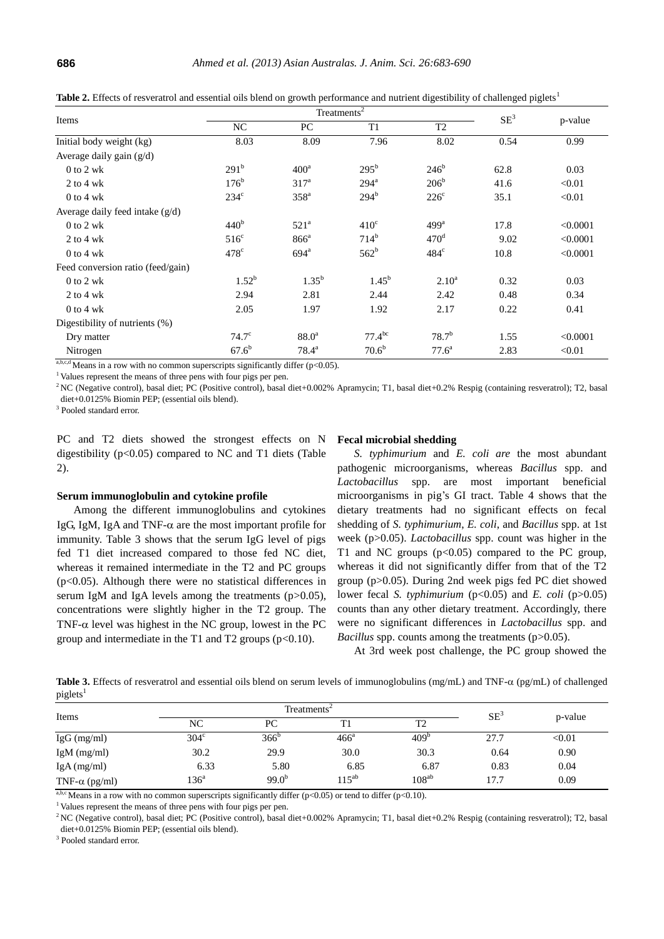| Items                             | Treatments <sup>2</sup> |                    |                  |                  | $SE^3$ |          |
|-----------------------------------|-------------------------|--------------------|------------------|------------------|--------|----------|
|                                   | NC                      | PC                 | T1               | T <sub>2</sub>   |        | p-value  |
| Initial body weight (kg)          | 8.03                    | 8.09               | 7.96             | 8.02             | 0.54   | 0.99     |
| Average daily gain $(g/d)$        |                         |                    |                  |                  |        |          |
| $0$ to $2$ wk                     | 291 <sup>b</sup>        | 400 <sup>a</sup>   | $295^{\rm b}$    | $246^b$          | 62.8   | 0.03     |
| $2$ to 4 wk                       | $176^{\rm b}$           | 317 <sup>a</sup>   | 294 <sup>a</sup> | 206 <sup>b</sup> | 41.6   | < 0.01   |
| $0$ to 4 wk                       | $234^{\circ}$           | 358 <sup>a</sup>   | 294 <sup>b</sup> | $226^{\circ}$    | 35.1   | < 0.01   |
| Average daily feed intake $(g/d)$ |                         |                    |                  |                  |        |          |
| $0$ to $2$ wk                     | 440 <sup>b</sup>        | 521 <sup>a</sup>   | 410 <sup>c</sup> | 499 <sup>a</sup> | 17.8   | < 0.0001 |
| $2$ to 4 wk                       | $516^{\circ}$           | $866^{\circ}$      | $714^{b}$        | 470 <sup>d</sup> | 9.02   | < 0.0001 |
| $0$ to 4 wk                       | 478 <sup>c</sup>        | $694$ <sup>a</sup> | $562^b$          | $484^\circ$      | 10.8   | < 0.0001 |
| Feed conversion ratio (feed/gain) |                         |                    |                  |                  |        |          |
| $0$ to $2$ wk                     | $1.52^{b}$              | $1.35^{b}$         | $1.45^{b}$       | $2.10^a$         | 0.32   | 0.03     |
| $2$ to 4 wk                       | 2.94                    | 2.81               | 2.44             | 2.42             | 0.48   | 0.34     |
| $0$ to 4 wk                       | 2.05                    | 1.97               | 1.92             | 2.17             | 0.22   | 0.41     |
| Digestibility of nutrients (%)    |                         |                    |                  |                  |        |          |
| Dry matter                        | $74.7^\circ$            | 88.0 <sup>a</sup>  | $77.4^{bc}$      | $78.7^{b}$       | 1.55   | < 0.0001 |
| Nitrogen                          | $67.6^{b}$              | $78.4^{\rm a}$     | $70.6^{\rm b}$   | $77.6^{\rm a}$   | 2.83   | < 0.01   |

Table 2. Effects of resveratrol and essential oils blend on growth performance and nutrient digestibility of challenged piglets<sup>1</sup>

a,b,c,d Means in a row with no common superscripts significantly differ ( $p$ <0.05).

<sup>1</sup> Values represent the means of three pens with four pigs per pen.

<sup>2</sup>NC (Negative control), basal diet; PC (Positive control), basal diet+0.002% Apramycin; T1, basal diet+0.2% Respig (containing resveratrol); T2, basal diet+0.0125% Biomin PEP; (essential oils blend).

<sup>3</sup> Pooled standard error.

PC and T2 diets showed the strongest effects on N digestibility  $(p<0.05)$  compared to NC and T1 diets (Table 2).

## **Serum immunoglobulin and cytokine profile**

Among the different immunoglobulins and cytokines IgG, IgM, IgA and TNF- $\alpha$  are the most important profile for immunity. Table 3 shows that the serum IgG level of pigs fed T1 diet increased compared to those fed NC diet, whereas it remained intermediate in the T2 and PC groups (p<0.05). Although there were no statistical differences in serum IgM and IgA levels among the treatments (p>0.05), concentrations were slightly higher in the T2 group. The TNF- $\alpha$  level was highest in the NC group, lowest in the PC group and intermediate in the T1 and T2 groups  $(p<0.10)$ .

# **Fecal microbial shedding**

*S. typhimurium* and *E. coli are* the most abundant pathogenic microorganisms, whereas *Bacillus* spp. and *Lactobacillus* spp. are most important beneficial microorganisms in pig's GI tract. Table 4 shows that the dietary treatments had no significant effects on fecal shedding of *S. typhimurium*, *E. coli*, and *Bacillus* spp. at 1st week (p>0.05). *Lactobacillus* spp. count was higher in the T1 and NC groups  $(p<0.05)$  compared to the PC group, whereas it did not significantly differ from that of the T2 group (p>0.05). During 2nd week pigs fed PC diet showed lower fecal *S. typhimurium* (p<0.05) and *E. coli* (p>0.05) counts than any other dietary treatment. Accordingly, there were no significant differences in *Lactobacillus* spp. and *Bacillus* spp. counts among the treatments (p>0.05).

At 3rd week post challenge, the PC group showed the

**Table 3.** Effects of resveratrol and essential oils blend on serum levels of immunoglobulins (mg/mL) and TNF- $\alpha$  (pg/mL) of challenged  $pi$ glets<sup>1</sup>

| Items                 |               | $Treatments^2$ | $SE^3$        |                  |      |         |
|-----------------------|---------------|----------------|---------------|------------------|------|---------|
|                       | NC            | PС             |               | T <sub>2</sub>   |      | p-value |
| $IgG$ (mg/ml)         | $304^{\circ}$ | $366^b$        | $466^{\circ}$ | 409 <sup>b</sup> | 27.7 | < 0.01  |
| Ig $M$ (mg/ml)        | 30.2          | 29.9           | 30.0          | 30.3             | 0.64 | 0.90    |
| IgA(mg/ml)            | 6.33          | 5.80           | 6.85          | 6.87             | 0.83 | 0.04    |
| TNF- $\alpha$ (pg/ml) | $136^{\circ}$ | $99.0^{b}$     | $115^{ab}$    | $108^{ab}$       | 17.7 | 0.09    |

a,b,c Means in a row with no common superscripts significantly differ (p<0.05) or tend to differ (p<0.10).

<sup>1</sup> Values represent the means of three pens with four pigs per pen.

<sup>2</sup> NC (Negative control), basal diet; PC (Positive control), basal diet+0.002% Apramycin; T1, basal diet+0.2% Respig (containing resveratrol); T2, basal diet+0.0125% Biomin PEP; (essential oils blend).

<sup>3</sup> Pooled standard error.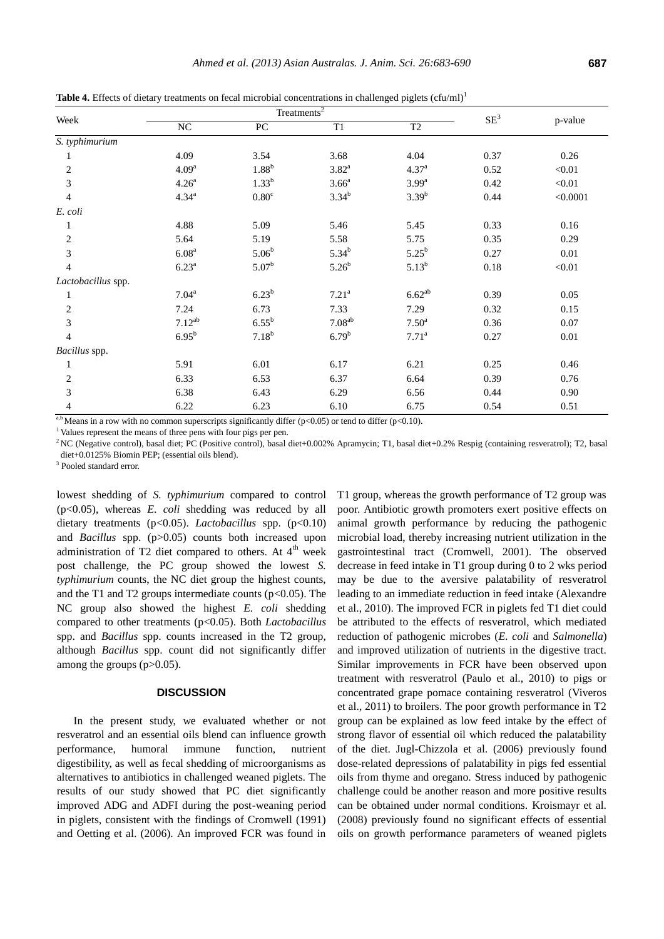| Week               |                   | Treatments $\overline{2}$ |                   |                     |        |          |
|--------------------|-------------------|---------------------------|-------------------|---------------------|--------|----------|
|                    | $\rm NC$          | ${\rm P}{\bf C}$          | T1                | $\operatorname{T2}$ | $SE^3$ | p-value  |
| S. typhimurium     |                   |                           |                   |                     |        |          |
| 1                  | 4.09              | 3.54                      | 3.68              | 4.04                | 0.37   | 0.26     |
| $\overline{2}$     | 4.09 <sup>a</sup> | 1.88 <sup>b</sup>         | $3.82^{\rm a}$    | 4.37 <sup>a</sup>   | 0.52   | < 0.01   |
| 3                  | 4.26 <sup>a</sup> | $1.33^{b}$                | 3.66 <sup>a</sup> | 3.99 <sup>a</sup>   | 0.42   | < 0.01   |
| 4                  | $4.34^{a}$        | $0.80^{\circ}$            | $3.34^{b}$        | $3.39^{b}$          | 0.44   | < 0.0001 |
| E. coli            |                   |                           |                   |                     |        |          |
|                    | 4.88              | 5.09                      | 5.46              | 5.45                | 0.33   | 0.16     |
| $\overline{2}$     | 5.64              | 5.19                      | 5.58              | 5.75                | 0.35   | 0.29     |
| 3                  | 6.08 <sup>a</sup> | 5.06 <sup>b</sup>         | $5.34^{b}$        | $5.25^{b}$          | 0.27   | 0.01     |
| 4                  | $6.23^{a}$        | $5.07^{\rm b}$            | $5.26^{b}$        | $5.13^{b}$          | 0.18   | < 0.01   |
| Lactobacillus spp. |                   |                           |                   |                     |        |          |
| 1                  | $7.04^a$          | 6.23 <sup>b</sup>         | 7.21 <sup>a</sup> | $6.62^{ab}$         | 0.39   | 0.05     |
| 2                  | 7.24              | 6.73                      | 7.33              | 7.29                | 0.32   | 0.15     |
| 3                  | $7.12^{ab}$       | $6.55^{b}$                | $7.08^{ab}$       | 7.50 <sup>a</sup>   | 0.36   | 0.07     |
| 4                  | $6.95^b$          | $7.18^{b}$                | $6.79^{b}$        | $7.71^{\rm a}$      | 0.27   | 0.01     |
| Bacillus spp.      |                   |                           |                   |                     |        |          |
| 1                  | 5.91              | 6.01                      | 6.17              | 6.21                | 0.25   | 0.46     |
| $\overline{2}$     | 6.33              | 6.53                      | 6.37              | 6.64                | 0.39   | 0.76     |
| 3                  | 6.38              | 6.43                      | 6.29              | 6.56                | 0.44   | 0.90     |
| 4                  | 6.22              | 6.23                      | 6.10              | 6.75                | 0.54   | 0.51     |

Table 4. Effects of dietary treatments on fecal microbial concentrations in challenged piglets (cfu/ml)<sup>1</sup>

<sup>a,b</sup> Means in a row with no common superscripts significantly differ (p<0.05) or tend to differ (p<0.10).

<sup>1</sup> Values represent the means of three pens with four pigs per pen.

 $2NC$  (Negative control), basal diet; PC (Positive control), basal diet+0.002% Apramycin; T1, basal diet+0.2% Respig (containing resveratrol); T2, basal diet+0.0125% Biomin PEP; (essential oils blend).

<sup>3</sup> Pooled standard error.

lowest shedding of *S. typhimurium* compared to control (p<0.05), whereas *E. coli* shedding was reduced by all dietary treatments (p<0.05). *Lactobacillus* spp. (p<0.10) and *Bacillus* spp. (p>0.05) counts both increased upon administration of T2 diet compared to others. At  $4<sup>th</sup>$  week post challenge, the PC group showed the lowest *S. typhimurium* counts, the NC diet group the highest counts, and the T1 and T2 groups intermediate counts  $(p<0.05)$ . The NC group also showed the highest *E. coli* shedding compared to other treatments (p<0.05). Both *Lactobacillus* spp. and *Bacillus* spp. counts increased in the T2 group, although *Bacillus* spp. count did not significantly differ among the groups  $(p>0.05)$ .

## **DISCUSSION**

In the present study, we evaluated whether or not resveratrol and an essential oils blend can influence growth performance, humoral immune function, nutrient digestibility, as well as fecal shedding of microorganisms as alternatives to antibiotics in challenged weaned piglets. The results of our study showed that PC diet significantly improved ADG and ADFI during the post-weaning period in piglets, consistent with the findings of Cromwell (1991) and Oetting et al. (2006). An improved FCR was found in T1 group, whereas the growth performance of T2 group was poor. Antibiotic growth promoters exert positive effects on animal growth performance by reducing the pathogenic microbial load, thereby increasing nutrient utilization in the gastrointestinal tract (Cromwell, 2001). The observed decrease in feed intake in T1 group during 0 to 2 wks period may be due to the aversive palatability of resveratrol leading to an immediate reduction in feed intake (Alexandre et al., 2010). The improved FCR in piglets fed T1 diet could be attributed to the effects of resveratrol, which mediated reduction of pathogenic microbes (*E. coli* and *Salmonella*) and improved utilization of nutrients in the digestive tract. Similar improvements in FCR have been observed upon treatment with resveratrol (Paulo et al., 2010) to pigs or concentrated grape pomace containing resveratrol (Viveros et al., 2011) to broilers. The poor growth performance in T2 group can be explained as low feed intake by the effect of strong flavor of essential oil which reduced the palatability of the diet. Jugl-Chizzola et al. (2006) previously found dose-related depressions of palatability in pigs fed essential oils from thyme and oregano. Stress induced by pathogenic challenge could be another reason and more positive results can be obtained under normal conditions. Kroismayr et al. (2008) previously found no significant effects of essential oils on growth performance parameters of weaned piglets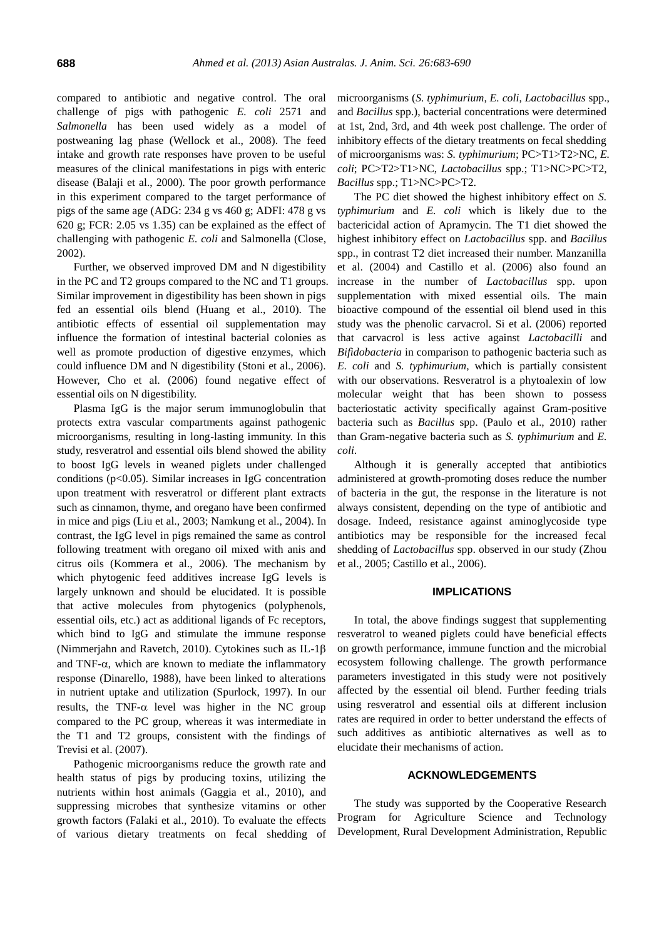compared to antibiotic and negative control. The oral challenge of pigs with pathogenic *E. coli* 2571 and *Salmonella* has been used widely as a model of postweaning lag phase (Wellock et al., 2008). The feed intake and growth rate responses have proven to be useful measures of the clinical manifestations in pigs with enteric disease (Balaji et al., 2000). The poor growth performance in this experiment compared to the target performance of pigs of the same age (ADG: 234 g vs 460 g; ADFI: 478 g vs 620 g; FCR: 2.05 vs 1.35) can be explained as the effect of challenging with pathogenic *E. coli* and Salmonella (Close, 2002).

Further, we observed improved DM and N digestibility in the PC and T2 groups compared to the NC and T1 groups. Similar improvement in digestibility has been shown in pigs fed an essential oils blend (Huang et al., 2010). The antibiotic effects of essential oil supplementation may influence the formation of intestinal bacterial colonies as well as promote production of digestive enzymes, which could influence DM and N digestibility (Stoni et al., 2006). However, Cho et al. (2006) found negative effect of essential oils on N digestibility.

Plasma IgG is the major serum immunoglobulin that protects extra vascular compartments against pathogenic microorganisms, resulting in long-lasting immunity. In this study, resveratrol and essential oils blend showed the ability to boost IgG levels in weaned piglets under challenged conditions ( $p<0.05$ ). Similar increases in IgG concentration upon treatment with resveratrol or different plant extracts such as cinnamon, thyme, and oregano have been confirmed in mice and pigs (Liu et al., 2003; Namkung et al., 2004). In contrast, the IgG level in pigs remained the same as control following treatment with oregano oil mixed with anis and citrus oils (Kommera et al., 2006). The mechanism by which phytogenic feed additives increase IgG levels is largely unknown and should be elucidated. It is possible that active molecules from phytogenics (polyphenols, essential oils, etc.) act as additional ligands of Fc receptors, which bind to IgG and stimulate the immune response (Nimmerjahn and Ravetch, 2010). Cytokines such as IL-1 $\beta$ and TNF- $\alpha$ , which are known to mediate the inflammatory response (Dinarello, 1988), have been linked to alterations in nutrient uptake and utilization (Spurlock, 1997). In our results, the TNF- $\alpha$  level was higher in the NC group compared to the PC group, whereas it was intermediate in the T1 and T2 groups, consistent with the findings of Trevisi et al. (2007).

Pathogenic microorganisms reduce the growth rate and health status of pigs by producing toxins, utilizing the nutrients within host animals (Gaggia et al., 2010), and suppressing microbes that synthesize vitamins or other growth factors [\(Falaki et al., 2010](javascript:;)). To evaluate the effects of various dietary treatments on fecal shedding of microorganisms (*S. typhimurium*, *E. coli*, *Lactobacillus* spp., and *Bacillus* spp.), bacterial concentrations were determined at 1st, 2nd, 3rd, and 4th week post challenge. The order of inhibitory effects of the dietary treatments on fecal shedding of microorganisms was: *S. typhimurium*; PC>T1>T2>NC, *E. coli*; PC>T2>T1>NC, *Lactobacillus* spp.; T1>NC>PC>T2, *Bacillus* spp.; T1>NC>PC>T2.

The PC diet showed the highest inhibitory effect on *S. typhimurium* and *E. coli* which is likely due to the bactericidal action of Apramycin. The T1 diet showed the highest inhibitory effect on *Lactobacillus* spp. and *Bacillus* spp., in contrast T2 diet increased their number. Manzanilla et al. (2004) and Castillo et al. (2006) also found an increase in the number of *Lactobacillus* spp. upon supplementation with mixed essential oils. The main bioactive compound of the essential oil blend used in this study was the phenolic carvacrol. Si et al. (2006) reported that carvacrol is less active against *Lactobacilli* and *Bifidobacteria* in comparison to pathogenic bacteria such as *E. coli* and *S. typhimurium*, which is partially consistent with our observations. Resveratrol is a phytoalexin of low molecular weight that has been shown to possess bacteriostatic activity specifically against Gram-positive bacteria such as *Bacillus* spp. (Paulo et al., 2010) rather than Gram-negative bacteria such as *S. typhimurium* and *E. coli*.

Although it is generally accepted that antibiotics administered at growth-promoting doses reduce the number of bacteria in the gut, the response in the literature is not always consistent, depending on the type of antibiotic and dosage. Indeed, resistance against aminoglycoside type antibiotics may be responsible for the increased fecal shedding of *Lactobacillus* spp. observed in our study (Zhou et al., 2005; Castillo et al., 2006).

# **IMPLICATIONS**

In total, the above findings suggest that supplementing resveratrol to weaned piglets could have beneficial effects on growth performance, immune function and the microbial ecosystem following challenge. The growth performance parameters investigated in this study were not positively affected by the essential oil blend. Further feeding trials using resveratrol and essential oils at different inclusion rates are required in order to better understand the effects of such additives as antibiotic alternatives as well as to elucidate their mechanisms of action.

## **ACKNOWLEDGEMENTS**

The study was supported by the Cooperative Research Program for Agriculture Science and Technology Development, Rural Development Administration, Republic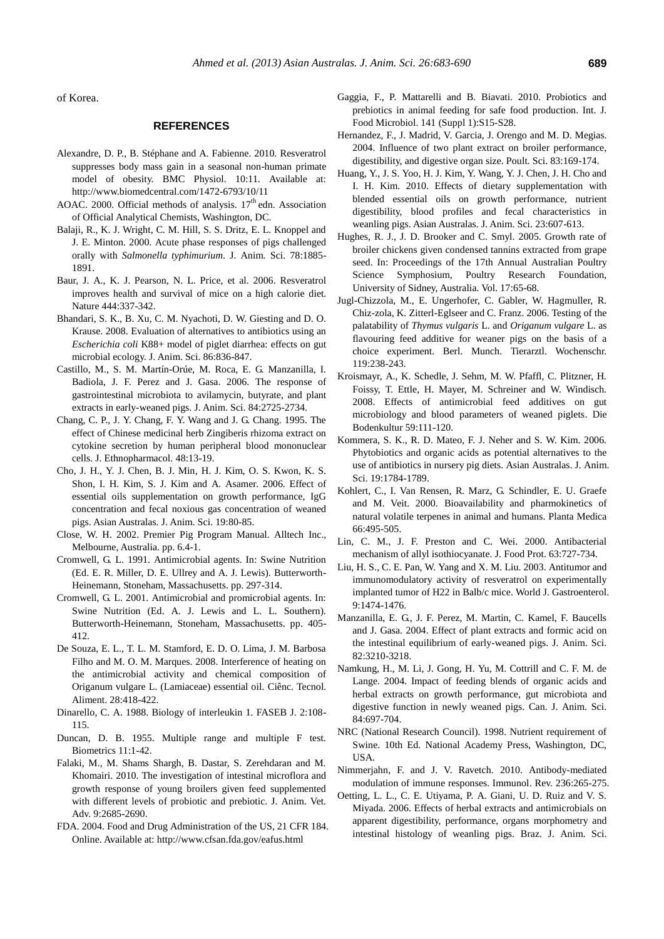of Korea.

# **REFERENCES**

- Alexandre, D. P., B. Stéphane and A. Fabienne. 2010. Resveratrol suppresses body mass gain in a seasonal non-human primate model of obesity. BMC Physiol. 10:11. Available at: <http://www.biomedcentral.com/1472-6793/10/11>
- AOAC. 2000. Official methods of analysis. 17<sup>th</sup> edn. Association of Official Analytical Chemists, Washington, DC.
- Balaji, R., K. J. Wright, C. M. Hill, S. S. Dritz, E. L. Knoppel and J. E. Minton. 2000. Acute phase responses of pigs challenged orally with *Salmonella typhimurium*. J. Anim. Sci. 78:1885- 1891.
- Baur, J. A., K. J. Pearson, N. L. Price, et al. 2006. Resveratrol improves health and survival of mice on a high calorie diet. Nature 444:337-342.
- Bhandari, S. K., B. Xu, C. M. Nyachoti, D. W. Giesting and D. O. Krause. 2008. Evaluation of alternatives to antibiotics using an *Escherichia coli* K88+ model of piglet diarrhea: effects on gut microbial ecology. J. Anim. Sci. 86:836-847.
- Castillo, M., S. M. [Martín-Orúe,](http://www.ncbi.nlm.nih.gov/pubmed?term=Mart%C3%ADn-Or%C3%BAe%20SM%5BAuthor%5D&cauthor=true&cauthor_uid=16971574) M. Roca, E. G. Manzanilla, I. Badiola, J. F. Perez and J. Gasa. 2006. The response of gastrointestinal microbiota to avilamycin, butyrate, and plant extracts in early-weaned pigs. J. Anim. Sci. 84:2725-2734.
- Chang, C. P., J. Y. Chang, F. Y. Wang and J. G. Chang. 1995. The effect of Chinese medicinal herb Zingiberis rhizoma extract on cytokine secretion by human peripheral blood mononuclear cells. J. Ethnopharmacol. 48:13-19.
- Cho, J. H., Y. J. Chen, B. J. Min, H. J. Kim, O. S. Kwon, K. S. Shon, I. H. Kim, S. J. Kim and A. Asamer. 2006. Effect of essential oils supplementation on growth performance, IgG concentration and fecal noxious gas concentration of weaned pigs. Asian Australas. J. Anim. Sci. 19:80-85.
- Close, W. H. 2002. Premier Pig Program Manual. Alltech Inc., Melbourne, Australia. pp. 6.4-1.
- Cromwell, G. L. 1991. Antimicrobial agents. In: Swine Nutrition (Ed. E. R. Miller, D. E. Ullrey and A. J. Lewis). Butterworth-Heinemann, Stoneham, Massachusetts. pp. 297-314.
- Cromwell, G. L. 2001. Antimicrobial and promicrobial agents. In: Swine Nutrition (Ed. A. J. Lewis and L. L. Southern). Butterworth-Heinemann, Stoneham, Massachusetts. pp. 405- 412.
- De Souza, E. L., T. L. M. Stamford, E. D. O. Lima, J. M. Barbosa Filho and M. O. M. Marques. 2008. Interference of heating on the antimicrobial activity and chemical composition of Origanum vulgare L. (Lamiaceae) essential oil. Ciênc. Tecnol. Aliment. 28:418-422.
- Dinarello, C. A. 1988. Biology of interleukin 1. FASEB J. 2:108- 115.
- Duncan, D. B. 1955. Multiple range and multiple F test. Biometrics 11:1-42.
- Falaki, M., M. Shams Shargh, B. Dastar, S. Zerehdaran and M. Khomairi. 2010. The investigation of intestinal microflora and growth response of young broilers given feed supplemented with different levels of probiotic and prebiotic. J. Anim. Vet. Adv. 9:2685-2690.
- FDA. 2004. Food and Drug Administration of the US, 21 CFR 184. Online. Available at: http://www.cfsan.fda.gov/eafus.html
- Gaggia, F., P. Mattarelli and B. Biavati. 2010. Probiotics and prebiotics in animal feeding for safe food production. Int. J. Food Microbiol. 141 (Suppl 1):S15-S28.
- Hernandez, F., J. Madrid, V. Garcia, J. Orengo and M. D. Megias. 2004. Influence of two plant extract on broiler performance, digestibility, and digestive organ size. Poult. Sci. 83:169-174.
- Huang, Y., J. S. Yoo, H. J. Kim, Y. Wang, Y. J. Chen, J. H. Cho and I. H. Kim. 2010. Effects of dietary supplementation with blended essential oils on growth performance, nutrient digestibility, blood profiles and fecal characteristics in weanling pigs. Asian Australas. J. Anim. Sci. 23:607-613.
- Hughes, R. J., J. D. Brooker and C. Smyl. 2005. Growth rate of broiler chickens given condensed tannins extracted from grape seed. In: Proceedings of the 17th Annual Australian Poultry Science Symphosium, Poultry Research Foundation, University of Sidney, Australia. Vol. 17:65-68.
- Jugl-Chizzola, M., E. Ungerhofer, C. Gabler, W. Hagmuller, R. Chiz-zola, K. Zitterl-Eglseer and C. Franz. 2006. Testing of the palatability of *Thymus vulgaris* L. and *Origanum vulgare* L. as flavouring feed additive for weaner pigs on the basis of a choice experiment. Berl. Munch. Tierarztl. Wochenschr. 119:238-243.
- Kroismayr, A., K. Schedle, J. Sehm, M. W. Pfaffl, C. Plitzner, H. Foissy, T. Ettle, H. Mayer, M. Schreiner and W. Windisch. 2008. Effects of antimicrobial feed additives on gut microbiology and blood parameters of weaned piglets. Die Bodenkultur 59:111-120.
- Kommera, S. K., R. D. Mateo, F. J. Neher and S. W. Kim. 2006. Phytobiotics and organic acids as potential alternatives to the use of antibiotics in nursery pig diets. Asian Australas. J. Anim. Sci. 19:1784-1789.
- Kohlert, C., I. Van Rensen, R. Marz, G. Schindler, E. U. Graefe and M. Veit. 2000. Bioavailability and pharmokinetics of natural volatile terpenes in animal and humans. Planta Medica 66:495-505.
- Lin, C. M., J. F. Preston and C. Wei. 2000. Antibacterial mechanism of allyl isothiocyanate. J. Food Prot. 63:727-734.
- [Liu, H. S.](http://www.ncbi.nlm.nih.gov/pubmed?term=Liu%20HS%5BAuthor%5D&cauthor=true&cauthor_uid=12854144), C. E. [Pan,](http://www.ncbi.nlm.nih.gov/pubmed?term=Pan%20CE%5BAuthor%5D&cauthor=true&cauthor_uid=12854144) W. [Yang and](http://www.ncbi.nlm.nih.gov/pubmed?term=Yang%20W%5BAuthor%5D&cauthor=true&cauthor_uid=12854144) X. M[. Liu.](http://www.ncbi.nlm.nih.gov/pubmed?term=Liu%20XM%5BAuthor%5D&cauthor=true&cauthor_uid=12854144) 2003. Antitumor and immunomodulatory activity of resveratrol on experimentally implanted tumor of H22 in Balb/c mice. World J. Gastroenterol. 9:1474-1476.
- Manzanilla, E. G., J. F. Perez, M. Martin, C. Kamel, F. Baucells and J. Gasa. 2004. Effect of plant extracts and formic acid on the intestinal equilibrium of early-weaned pigs. J. Anim. Sci. 82:3210-3218.
- Namkung, H., M. Li, J. Gong, H. Yu, M. Cottrill and C. F. M. de Lange. 2004. Impact of feeding blends of organic acids and herbal extracts on growth performance, gut microbiota and digestive function in newly weaned pigs. Can. J. Anim. Sci. 84:697-704.
- NRC (National Research Council). 1998. Nutrient requirement of Swine. 10th Ed. National Academy Press, Washington, DC, USA.
- Nimmerjahn, F. and J. V. Ravetch. 2010. Antibody-mediated modulation of immune responses. Immunol. Rev. 236:265-275.
- Oetting, L. L., C. E. Utiyama, P. A. Giani, U. D. Ruiz and V. S. Miyada. 2006. Effects of herbal extracts and antimicrobials on apparent digestibility, performance, organs morphometry and intestinal histology of weanling pigs. Braz. J. Anim. Sci.